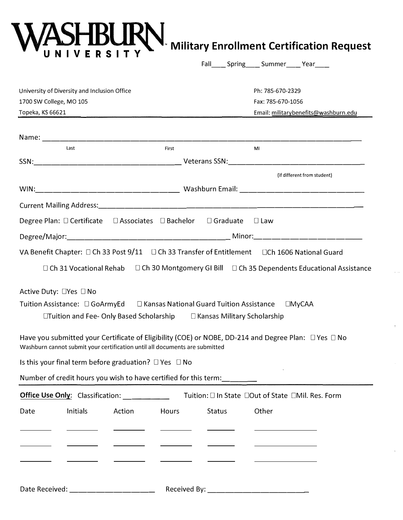## **WASHBURN** Military Enrollment Certification Request

|                                                                                                                                                                                     |                        | Fall______Spring______Summer______Year______      |
|-------------------------------------------------------------------------------------------------------------------------------------------------------------------------------------|------------------------|---------------------------------------------------|
| University of Diversity and Inclusion Office                                                                                                                                        |                        | Ph: 785-670-2329                                  |
| 1700 SW College, MO 105                                                                                                                                                             |                        | Fax: 785-670-1056                                 |
| Topeka, KS 66621                                                                                                                                                                    |                        | Email: militarybenefits@washburn.edu              |
|                                                                                                                                                                                     |                        |                                                   |
|                                                                                                                                                                                     |                        |                                                   |
| Last                                                                                                                                                                                | First                  | MI                                                |
|                                                                                                                                                                                     |                        |                                                   |
|                                                                                                                                                                                     |                        | (if different from student)                       |
|                                                                                                                                                                                     |                        |                                                   |
|                                                                                                                                                                                     |                        |                                                   |
| Degree Plan: □ Certificate □ Associates □ Bachelor                                                                                                                                  | $\Box$ Graduate        | $\Box$ Law                                        |
|                                                                                                                                                                                     |                        |                                                   |
|                                                                                                                                                                                     |                        |                                                   |
| VA Benefit Chapter: □ Ch 33 Post 9/11 □ Ch 33 Transfer of Entitlement □ Ch 1606 National Guard                                                                                      |                        |                                                   |
| □ Ch 31 Vocational Rehab □ Ch 30 Montgomery GI Bill □ Ch 35 Dependents Educational Assistance                                                                                       |                        |                                                   |
| Active Duty: □Yes □ No                                                                                                                                                              |                        |                                                   |
| Tuition Assistance: □ GoArmyEd   □ Kansas National Guard Tuition Assistance   □MyCAA                                                                                                |                        |                                                   |
| $\Box$ Tuition and Fee-Only Based Scholarship $\Box$ Kansas Military Scholarship                                                                                                    |                        |                                                   |
|                                                                                                                                                                                     |                        |                                                   |
| Have you submitted your Certificate of Eligibility (COE) or NOBE, DD-214 and Degree Plan: □ Yes □ No<br>Washburn cannot submit your certification until all documents are submitted |                        |                                                   |
| Is this your final term before graduation? $\Box$ Yes $\Box$ No                                                                                                                     |                        |                                                   |
| Number of credit hours you wish to have certified for this term:<br>                                                                                                                |                        |                                                   |
| Office Use Only: Classification:                                                                                                                                                    |                        | Tuition: □ In State □Out of State □Mil. Res. Form |
|                                                                                                                                                                                     |                        |                                                   |
| Initials<br>Action<br>Date                                                                                                                                                          | Hours<br><b>Status</b> | Other                                             |
|                                                                                                                                                                                     |                        |                                                   |
|                                                                                                                                                                                     |                        |                                                   |
|                                                                                                                                                                                     |                        |                                                   |
|                                                                                                                                                                                     |                        |                                                   |
|                                                                                                                                                                                     |                        |                                                   |
| Date Received:                                                                                                                                                                      | Received By:           |                                                   |